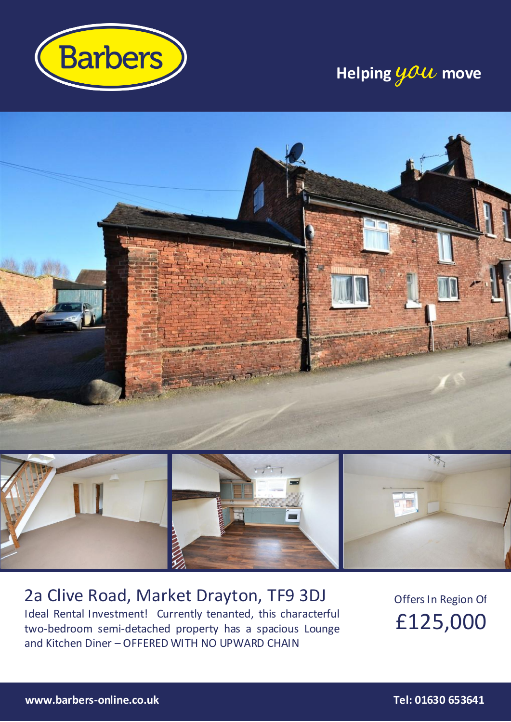

## **Helping you move**



### 2a Clive Road, Market Drayton, TF9 3DJ Ideal Rental Investment! Currently tenanted, this characterful two-bedroom semi-detached property has a spacious Lounge and Kitchen Diner – OFFERED WITH NO UPWARD CHAIN

Offers In Region Of £125,000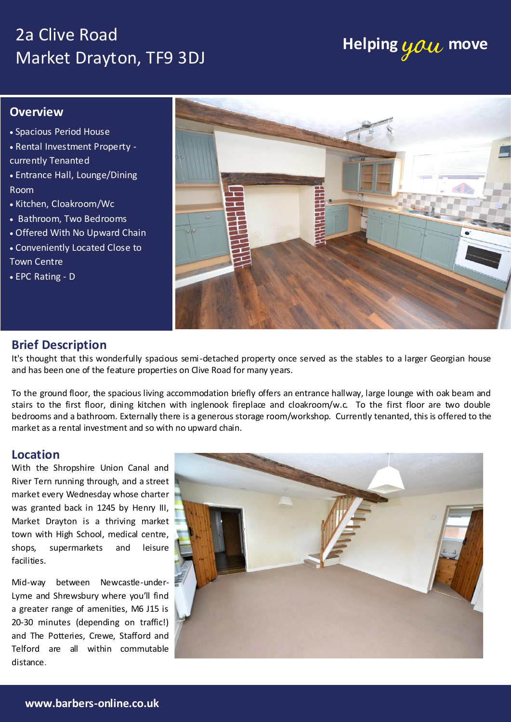## 2a Clive Road Market Drayton, TF9 3DJ

# **Helping you move**

### **Overview**

- Spacious Period House
- Rental Investment Property currently Tenanted
- Entrance Hall, Lounge/Dining Room
- Kitchen, Cloakroom/Wc
- Bathroom, Two Bedrooms
- Offered With No Upward Chain
- Conveniently Located Close to Town Centre
- EPC Rating D



### **Brief Description**

It's thought that this wonderfully spacious semi-detached property once served as the stables to a larger Georgian house and has been one of the feature properties on Clive Road for many years.

To the ground floor, the spacious living accommodation briefly offers an entrance hallway, large lounge with oak beam and stairs to the first floor, dining kitchen with inglenook fireplace and cloakroom/w.c. To the first floor are two double bedrooms and a bathroom. Externally there is a generous storage room/workshop. Currently tenanted, this is offered to the market as a rental investment and so with no upward chain.

#### **Location**

was granted back in 1245 by Henry III, facilities. With the Shropshire Union Canal and shops, supermarkets and leisure

ENTRANCE HALLWAY Mid-way between Newcastle-under-Lyme and Shrewsbury where you'll find a greater range of amenities, M6 J15 is 20-30 minutes (depending on traffic!) and The Potteries, Crewe, Stafford and  $\sqrt{1+|S|}$  $\begin{bmatrix} \text{Telford} & \text{are} & \text{all} \end{bmatrix}$  within commutable Parties are distance.

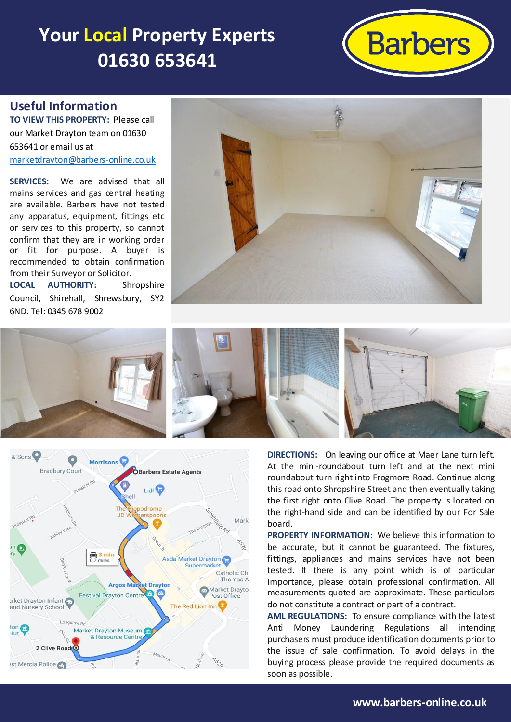## **Your Local Property Experts 01630 653641**



### **Useful Information**

**TO VIEW THIS PROPERTY:** Please call our Market Drayton team on 01630 653641 or email us at [marketdrayton@barbers-online.co.uk](mailto:marketdrayton@barbers-online.co.uk)

**SERVICES:** We are advised that all mains services and gas central heating are available. Barbers have not tested any apparatus, equipment, fittings etc or services to this property, so cannot confirm that they are in working order or fit for purpose. A buyer is recommended to obtain confirmation from their Surveyor or Solicitor.

**LOCAL AUTHORITY:** Shropshire Council, Shirehall, Shrewsbury, SY2 6ND. Tel: 0345 678 9002







**DIRECTIONS:** On leaving our office at Maer Lane turn left. At the mini-roundabout turn left and at the next mini roundabout turn right into Frogmore Road. Continue along this road onto Shropshire Street and then eventually taking the first right onto Clive Road. The property is located on the right-hand side and can be identified by our For Sale board.

**PROPERTY INFORMATION:** We believe this information to be accurate, but it cannot be guaranteed. The fixtures, fittings, appliances and mains services have not been tested. If there is any point which is of particular importance, please obtain professional confirmation. All measurements quoted are approximate. These particulars do not constitute a contract or part of a contract.

**AML REGULATIONS:** To ensure compliance with the latest Anti Money Laundering Regulations all intending purchasers must produce identification documents prior to the issue of sale confirmation. To avoid delays in the buying process please provide the required documents as soon as possible.